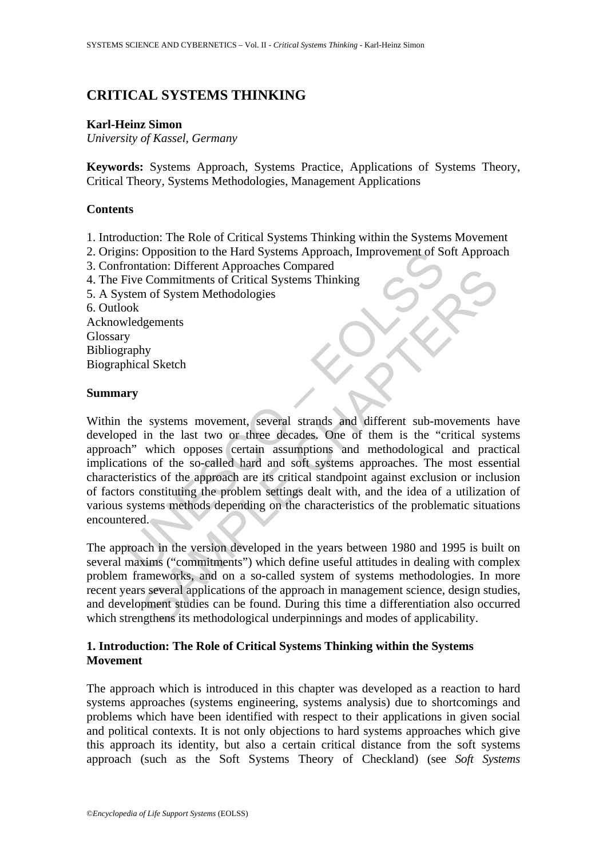# **CRITICAL SYSTEMS THINKING**

### **Karl-Heinz Simon**

*University of Kassel, Germany* 

**Keywords:** Systems Approach, Systems Practice, Applications of Systems Theory, Critical Theory, Systems Methodologies, Management Applications

## **Contents**

- 1. Introduction: The Role of Critical Systems Thinking within the Systems Movement
- 2. Origins: Opposition to the Hard Systems Approach, Improvement of Soft Approach
- 3. Confrontation: Different Approaches Compared
- 4. The Five Commitments of Critical Systems Thinking
- 5. A System of System Methodologies

6. Outlook

Acknowledgements Glossary Bibliography Biographical Sketch

### **Summary**

Inst. Opposition to the Hard Systems Approach, Improvement of Solution: Different Approaches Compared<br>
Five Commitments of Critical Systems Thinking<br>
Five Commitments of Critical Systems Thinking<br>
stem of System Methodolog Commitments of Critical Systems Thinking<br>
2. Commitments of Critical Systems Thinking<br>
2. Systems movement, several strands and different sub-movements in<br>
the last two or three decades. One of them is the "critical system Within the systems movement, several strands and different sub-movements have developed in the last two or three decades. One of them is the "critical systems approach" which opposes certain assumptions and methodological and practical implications of the so-called hard and soft systems approaches. The most essential characteristics of the approach are its critical standpoint against exclusion or inclusion of factors constituting the problem settings dealt with, and the idea of a utilization of various systems methods depending on the characteristics of the problematic situations encountered.

The approach in the version developed in the years between 1980 and 1995 is built on several maxims ("commitments") which define useful attitudes in dealing with complex problem frameworks, and on a so-called system of systems methodologies. In more recent years several applications of the approach in management science, design studies, and development studies can be found. During this time a differentiation also occurred which strengthens its methodological underpinnings and modes of applicability.

# **1. Introduction: The Role of Critical Systems Thinking within the Systems Movement**

The approach which is introduced in this chapter was developed as a reaction to hard systems approaches (systems engineering, systems analysis) due to shortcomings and problems which have been identified with respect to their applications in given social and political contexts. It is not only objections to hard systems approaches which give this approach its identity, but also a certain critical distance from the soft systems approach (such as the Soft Systems Theory of Checkland) (see *Soft Systems*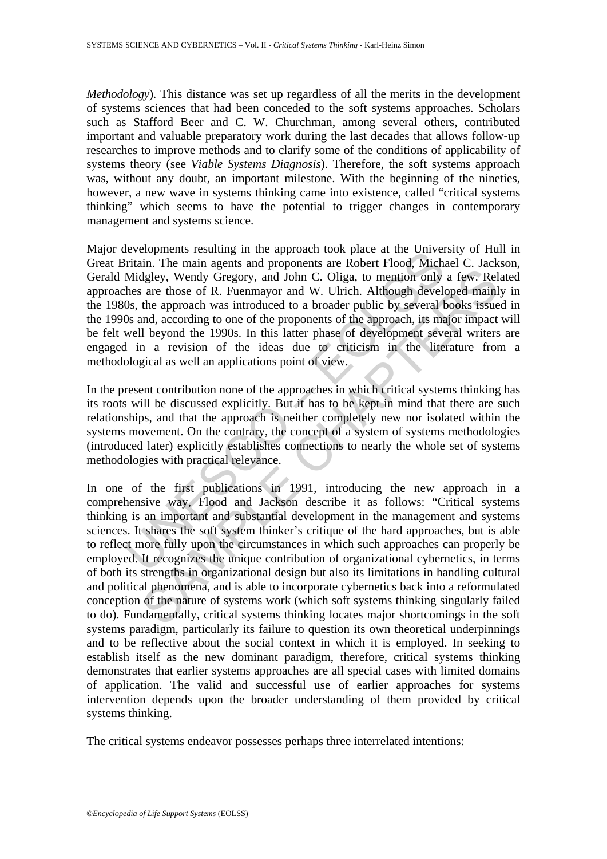*Methodology*). This distance was set up regardless of all the merits in the development of systems sciences that had been conceded to the soft systems approaches. Scholars such as Stafford Beer and C. W. Churchman, among several others, contributed important and valuable preparatory work during the last decades that allows follow-up researches to improve methods and to clarify some of the conditions of applicability of systems theory (see *Viable Systems Diagnosis*). Therefore, the soft systems approach was, without any doubt, an important milestone. With the beginning of the nineties, however, a new wave in systems thinking came into existence, called "critical systems thinking" which seems to have the potential to trigger changes in contemporary management and systems science.

evelopments resuming in the approach dook place at the oniver-<br>tritain. The main agents and proponents are Robert Flood, Michalah Midgley, Wendy Gregory, and John C. Oliga, to mention only<br>hes are those of R. Fuenmayor and Major developments resulting in the approach took place at the University of Hull in Great Britain. The main agents and proponents are Robert Flood, Michael C. Jackson, Gerald Midgley, Wendy Gregory, and John C. Oliga, to mention only a few. Related approaches are those of R. Fuenmayor and W. Ulrich. Although developed mainly in the 1980s, the approach was introduced to a broader public by several books issued in the 1990s and, according to one of the proponents of the approach, its major impact will be felt well beyond the 1990s. In this latter phase of development several writers are engaged in a revision of the ideas due to criticism in the literature from a methodological as well an applications point of view.

In the present contribution none of the approaches in which critical systems thinking has its roots will be discussed explicitly. But it has to be kept in mind that there are such relationships, and that the approach is neither completely new nor isolated within the systems movement. On the contrary, the concept of a system of systems methodologies (introduced later) explicitly establishes connections to nearly the whole set of systems methodologies with practical relevance.

digley, Wendy Gregory, and John C. Oliga, to mention only a few. Rel are those of R. Fuenmayor and W. Ulrich. Although developed mainl<br>die are those of R. Fuenmayor and W. Ulrich. Although developed mainl<br>the approach was In one of the first publications in 1991, introducing the new approach in a comprehensive way, Flood and Jackson describe it as follows: "Critical systems thinking is an important and substantial development in the management and systems sciences. It shares the soft system thinker's critique of the hard approaches, but is able to reflect more fully upon the circumstances in which such approaches can properly be employed. It recognizes the unique contribution of organizational cybernetics, in terms of both its strengths in organizational design but also its limitations in handling cultural and political phenomena, and is able to incorporate cybernetics back into a reformulated conception of the nature of systems work (which soft systems thinking singularly failed to do). Fundamentally, critical systems thinking locates major shortcomings in the soft systems paradigm, particularly its failure to question its own theoretical underpinnings and to be reflective about the social context in which it is employed. In seeking to establish itself as the new dominant paradigm, therefore, critical systems thinking demonstrates that earlier systems approaches are all special cases with limited domains of application. The valid and successful use of earlier approaches for systems intervention depends upon the broader understanding of them provided by critical systems thinking.

The critical systems endeavor possesses perhaps three interrelated intentions: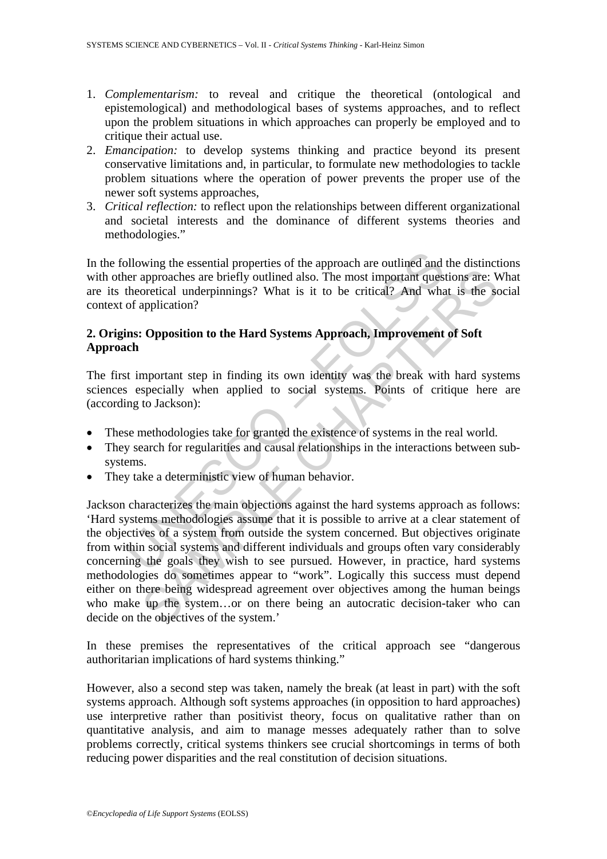- 1. *Complementarism:* to reveal and critique the theoretical (ontological and epistemological) and methodological bases of systems approaches, and to reflect upon the problem situations in which approaches can properly be employed and to critique their actual use.
- 2. *Emancipation:* to develop systems thinking and practice beyond its present conservative limitations and, in particular, to formulate new methodologies to tackle problem situations where the operation of power prevents the proper use of the newer soft systems approaches,
- 3. *Critical reflection:* to reflect upon the relationships between different organizational and societal interests and the dominance of different systems theories and methodologies."

In the following the essential properties of the approach are outlined and the distinctions with other approaches are briefly outlined also. The most important questions are: What are its theoretical underpinnings? What is it to be critical? And what is the social context of application?

# **2. Origins: Opposition to the Hard Systems Approach, Improvement of Soft Approach**

The first important step in finding its own identity was the break with hard systems sciences especially when applied to social systems. Points of critique here are (according to Jackson):

- These methodologies take for granted the existence of systems in the real world.
- They search for regularities and causal relationships in the interactions between subsystems.
- They take a deterministic view of human behavior.

blowing the essential properties of the approach are outlined and<br>eer approaches are briefly outlined also. The most important quest<br>theoretical underpinnings? What is it to be critical? And wha<br>of application?<br>Ins: Opposi approaches are briefly outlined also. The most important questions are: V<br>oretical underpinnings? What is it to be critical? And what is the score<br>icial underpinnings? What is it to be critical? And what is the scapplicati Jackson characterizes the main objections against the hard systems approach as follows: 'Hard systems methodologies assume that it is possible to arrive at a clear statement of the objectives of a system from outside the system concerned. But objectives originate from within social systems and different individuals and groups often vary considerably concerning the goals they wish to see pursued. However, in practice, hard systems methodologies do sometimes appear to "work". Logically this success must depend either on there being widespread agreement over objectives among the human beings who make up the system...or on there being an autocratic decision-taker who can decide on the objectives of the system.'

In these premises the representatives of the critical approach see "dangerous authoritarian implications of hard systems thinking."

However, also a second step was taken, namely the break (at least in part) with the soft systems approach. Although soft systems approaches (in opposition to hard approaches) use interpretive rather than positivist theory, focus on qualitative rather than on quantitative analysis, and aim to manage messes adequately rather than to solve problems correctly, critical systems thinkers see crucial shortcomings in terms of both reducing power disparities and the real constitution of decision situations.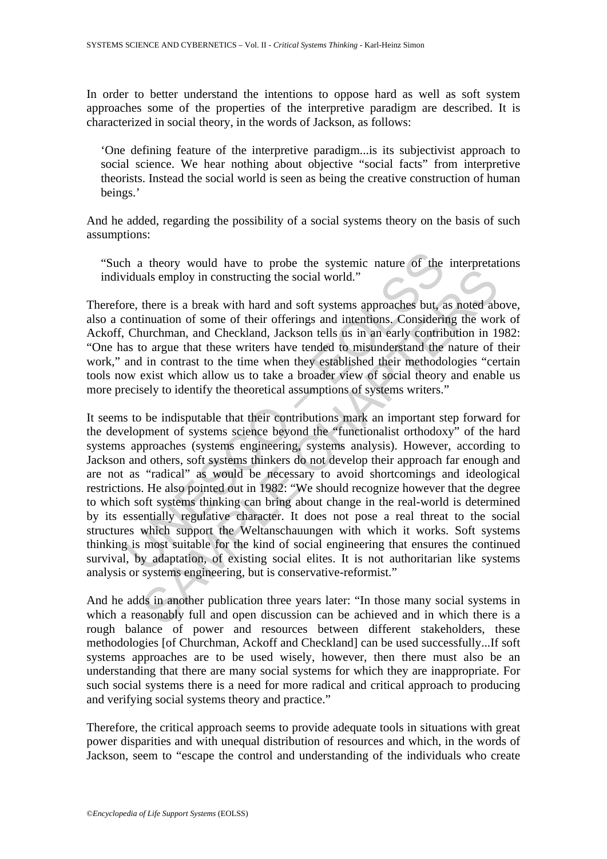In order to better understand the intentions to oppose hard as well as soft system approaches some of the properties of the interpretive paradigm are described. It is characterized in social theory, in the words of Jackson, as follows:

'One defining feature of the interpretive paradigm...is its subjectivist approach to social science. We hear nothing about objective "social facts" from interpretive theorists. Instead the social world is seen as being the creative construction of human beings.'

And he added, regarding the possibility of a social systems theory on the basis of such assumptions:

"Such a theory would have to probe the systemic nature of the interpretations individuals employ in constructing the social world."

Therefore, there is a break with hard and soft systems approaches but, as noted above, also a continuation of some of their offerings and intentions. Considering the work of Ackoff, Churchman, and Checkland, Jackson tells us in an early contribution in 1982: "One has to argue that these writers have tended to misunderstand the nature of their work," and in contrast to the time when they established their methodologies "certain tools now exist which allow us to take a broader view of social theory and enable us more precisely to identify the theoretical assumptions of systems writers."

h a theory would have to probe the systemic nature of the riduals employ in constructing the social world."<br>The responsible section of some of their offerings and intentions. Considering<br>Continuation of some of their offer als employ in constructing the social world."<br>
there is a break with hard and soft systems approaches but, as noted ab<br>
inuation of some of their offerings and intentions. Considering the wor<br>
uurchman, and Checkland, Jack It seems to be indisputable that their contributions mark an important step forward for the development of systems science beyond the "functionalist orthodoxy" of the hard systems approaches (systems engineering, systems analysis). However, according to Jackson and others, soft systems thinkers do not develop their approach far enough and are not as "radical" as would be necessary to avoid shortcomings and ideological restrictions. He also pointed out in 1982: "We should recognize however that the degree to which soft systems thinking can bring about change in the real-world is determined by its essentially regulative character. It does not pose a real threat to the social structures which support the Weltanschauungen with which it works. Soft systems thinking is most suitable for the kind of social engineering that ensures the continued survival, by adaptation, of existing social elites. It is not authoritarian like systems analysis or systems engineering, but is conservative-reformist."

And he adds in another publication three years later: "In those many social systems in which a reasonably full and open discussion can be achieved and in which there is a rough balance of power and resources between different stakeholders, these methodologies [of Churchman, Ackoff and Checkland] can be used successfully...If soft systems approaches are to be used wisely, however, then there must also be an understanding that there are many social systems for which they are inappropriate. For such social systems there is a need for more radical and critical approach to producing and verifying social systems theory and practice."

Therefore, the critical approach seems to provide adequate tools in situations with great power disparities and with unequal distribution of resources and which, in the words of Jackson, seem to "escape the control and understanding of the individuals who create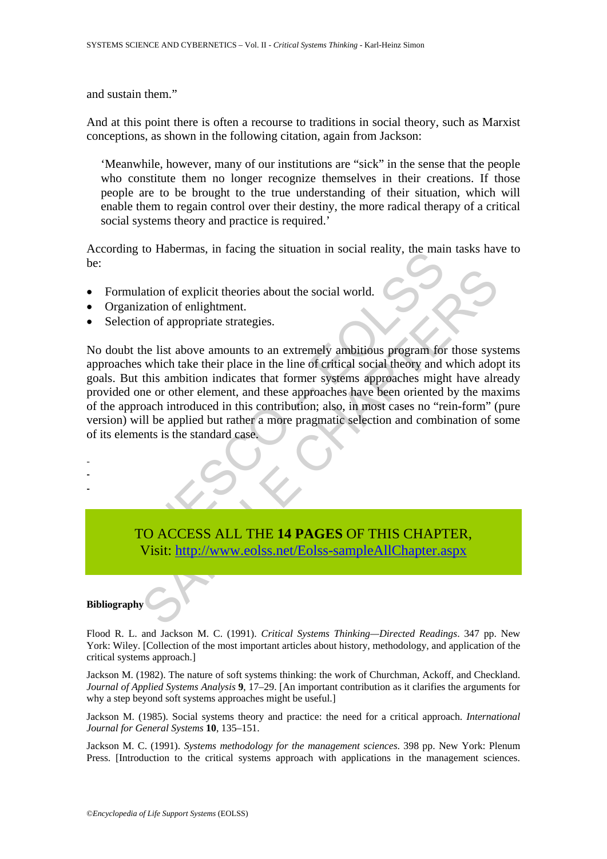and sustain them."

And at this point there is often a recourse to traditions in social theory, such as Marxist conceptions, as shown in the following citation, again from Jackson:

'Meanwhile, however, many of our institutions are "sick" in the sense that the people who constitute them no longer recognize themselves in their creations. If those people are to be brought to the true understanding of their situation, which will enable them to regain control over their destiny, the more radical therapy of a critical social systems theory and practice is required.'

According to Habermas, in facing the situation in social reality, the main tasks have to be:

- Formulation of explicit theories about the social world.
- Organization of enlightment.
- Selection of appropriate strategies.

matrix of explicit theories about the social world.<br>
The mulation of explicit theories about the social world.<br>
Anization of enlightment.<br>
The mulation of appropriate strategies.<br>
by the list above amounts to an extremely ation of explicit theories about the social world.<br>
atation of enlightment.<br>
Duality and their place in the line of critical social theory and which they this<br>
the list above amounts to an extremely ambitious program for t No doubt the list above amounts to an extremely ambitious program for those systems approaches which take their place in the line of critical social theory and which adopt its goals. But this ambition indicates that former systems approaches might have already provided one or other element, and these approaches have been oriented by the maxims of the approach introduced in this contribution; also, in most cases no "rein-form" (pure version) will be applied but rather a more pragmatic selection and combination of some of its elements is the standard case.

TO ACCESS ALL THE **14 PAGES** OF THIS CHAPTER, Visit: http://www.eolss.net/Eolss-sampleAllChapter.aspx

#### **Bibliography**

- - -

Flood R. L. and Jackson M. C. (1991). *Critical Systems Thinking—Directed Readings*. 347 pp. New York: Wiley. [Collection of the most important articles about history, methodology, and application of the critical systems approach.]

Jackson M. (1982). The nature of soft systems thinking: the work of Churchman, Ackoff, and Checkland. *Journal of Applied Systems Analysis* **9**, 17–29. [An important contribution as it clarifies the arguments for why a step beyond soft systems approaches might be useful.]

Jackson M. (1985). Social systems theory and practice: the need for a critical approach. *International Journal for General Systems* **10**, 135–151.

Jackson M. C. (1991). *Systems methodology for the management sciences*. 398 pp. New York: Plenum Press. [Introduction to the critical systems approach with applications in the management sciences.